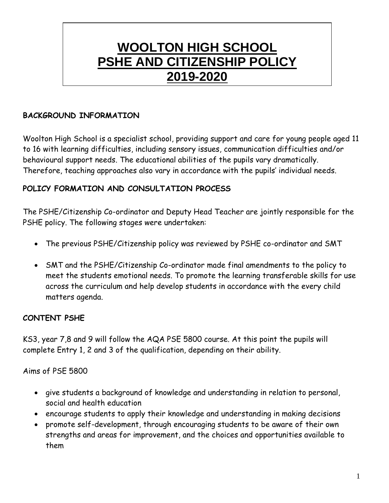# **WOOLTON HIGH SCHOOL PSHE AND CITIZENSHIP POLICY 2019-2020**

## **BACKGROUND INFORMATION**

Woolton High School is a specialist school, providing support and care for young people aged 11 to 16 with learning difficulties, including sensory issues, communication difficulties and/or behavioural support needs. The educational abilities of the pupils vary dramatically. Therefore, teaching approaches also vary in accordance with the pupils' individual needs.

# **POLICY FORMATION AND CONSULTATION PROCESS**

The PSHE/Citizenship Co-ordinator and Deputy Head Teacher are jointly responsible for the PSHE policy. The following stages were undertaken:

- The previous PSHE/Citizenship policy was reviewed by PSHE co-ordinator and SMT
- SMT and the PSHE/Citizenship Co-ordinator made final amendments to the policy to meet the students emotional needs. To promote the learning transferable skills for use across the curriculum and help develop students in accordance with the every child matters agenda.

# **CONTENT PSHE**

KS3, year 7,8 and 9 will follow the AQA PSE 5800 course. At this point the pupils will complete Entry 1, 2 and 3 of the qualification, depending on their ability.

Aims of PSE 5800

- give students a background of knowledge and understanding in relation to personal, social and health education
- encourage students to apply their knowledge and understanding in making decisions
- promote self-development, through encouraging students to be aware of their own strengths and areas for improvement, and the choices and opportunities available to them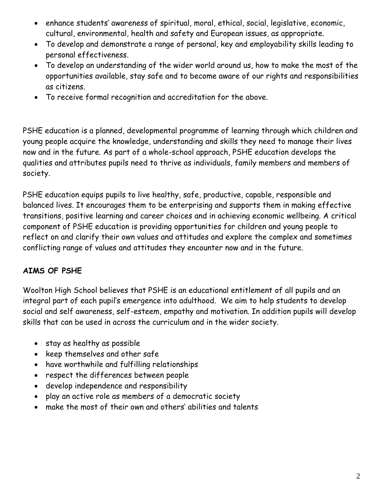- enhance students' awareness of spiritual, moral, ethical, social, legislative, economic, cultural, environmental, health and safety and European issues, as appropriate.
- To develop and demonstrate a range of personal, key and employability skills leading to personal effectiveness.
- To develop an understanding of the wider world around us, how to make the most of the opportunities available, stay safe and to become aware of our rights and responsibilities as citizens.
- To receive formal recognition and accreditation for the above.

PSHE education is a planned, developmental programme of learning through which children and young people acquire the knowledge, understanding and skills they need to manage their lives now and in the future. As part of a whole-school approach, PSHE education develops the qualities and attributes pupils need to thrive as individuals, family members and members of society.

PSHE education equips pupils to live healthy, safe, productive, capable, responsible and balanced lives. It encourages them to be enterprising and supports them in making effective transitions, positive learning and career choices and in achieving economic wellbeing. A critical component of PSHE education is providing opportunities for children and young people to reflect on and clarify their own values and attitudes and explore the complex and sometimes conflicting range of values and attitudes they encounter now and in the future.

## **AIMS OF PSHE**

Woolton High School believes that PSHE is an educational entitlement of all pupils and an integral part of each pupil's emergence into adulthood. We aim to help students to develop social and self awareness, self-esteem, empathy and motivation. In addition pupils will develop skills that can be used in across the curriculum and in the wider society.

- stay as healthy as possible
- keep themselves and other safe
- have worthwhile and fulfilling relationships
- respect the differences between people
- develop independence and responsibility
- play an active role as members of a democratic society
- make the most of their own and others' abilities and talents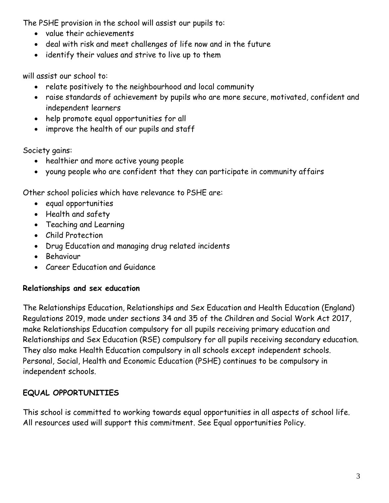The PSHE provision in the school will assist our pupils to:

- value their achievements
- deal with risk and meet challenges of life now and in the future
- identify their values and strive to live up to them

will assist our school to:

- relate positively to the neighbourhood and local community
- raise standards of achievement by pupils who are more secure, motivated, confident and independent learners
- help promote equal opportunities for all
- improve the health of our pupils and staff

Society gains:

- healthier and more active young people
- young people who are confident that they can participate in community affairs

Other school policies which have relevance to PSHE are:

- equal opportunities
- Health and safety
- Teaching and Learning
- Child Protection
- Drug Education and managing drug related incidents
- Behaviour
- Career Education and Guidance

# **Relationships and sex education**

The Relationships Education, Relationships and Sex Education and Health Education (England) Regulations 2019, made under sections 34 and 35 of the Children and Social Work Act 2017, make Relationships Education compulsory for all pupils receiving primary education and Relationships and Sex Education (RSE) compulsory for all pupils receiving secondary education. They also make Health Education compulsory in all schools except independent schools. Personal, Social, Health and Economic Education (PSHE) continues to be compulsory in independent schools.

# **EQUAL OPPORTUNITIES**

This school is committed to working towards equal opportunities in all aspects of school life. All resources used will support this commitment. See Equal opportunities Policy.